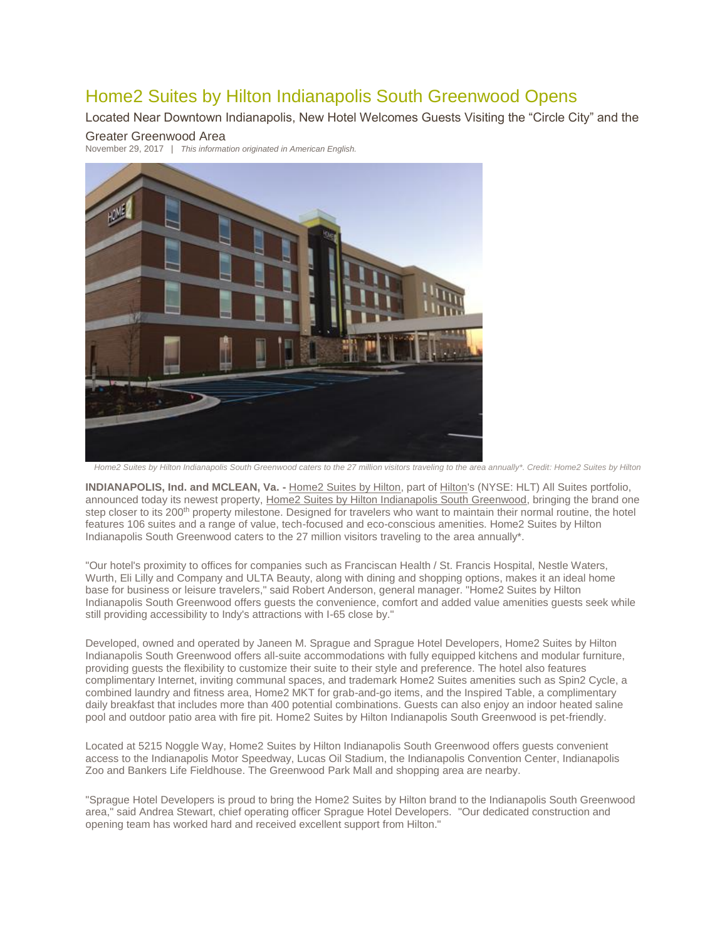# Home2 Suites by Hilton Indianapolis South Greenwood Opens

Located Near Downtown Indianapolis, New Hotel Welcomes Guests Visiting the "Circle City" and the

## Greater Greenwood Area

November 29, 2017 | *This information originated in American English.*



*Home2 Suites by Hilton Indianapolis South Greenwood caters to the 27 million visitors traveling to the area annually\*. Credit: Home2 Suites by Hilton*

**INDIANAPOLIS, Ind. and MCLEAN, Va. -** [Home2 Suites by Hilton,](http://home2suites3.hilton.com/en/index.html) part of [Hilton's](http://hiltonworldwide.com/) (NYSE: HLT) All Suites portfolio, announced today its newest property, [Home2 Suites by Hilton Indianapolis South Greenwood,](http://home2suites3.hilton.com/en/hotels/indiana/home2-suites-by-hilton-indianapolis-greenwood-INDGRHT/index.html) bringing the brand one step closer to its 200<sup>th</sup> property milestone. Designed for travelers who want to maintain their normal routine, the hotel features 106 suites and a range of value, tech-focused and eco-conscious amenities. Home2 Suites by Hilton Indianapolis South Greenwood caters to the 27 million visitors traveling to the area annually\*.

"Our hotel's proximity to offices for companies such as Franciscan Health / St. Francis Hospital, Nestle Waters, Wurth, Eli Lilly and Company and ULTA Beauty, along with dining and shopping options, makes it an ideal home base for business or leisure travelers," said Robert Anderson, general manager. "Home2 Suites by Hilton Indianapolis South Greenwood offers guests the convenience, comfort and added value amenities guests seek while still providing accessibility to Indy's attractions with I-65 close by."

Developed, owned and operated by Janeen M. Sprague and Sprague Hotel Developers, Home2 Suites by Hilton Indianapolis South Greenwood offers all-suite accommodations with fully equipped kitchens and modular furniture, providing guests the flexibility to customize their suite to their style and preference. The hotel also features complimentary Internet, inviting communal spaces, and trademark Home2 Suites amenities such as Spin2 Cycle, a combined laundry and fitness area, Home2 MKT for grab-and-go items, and the Inspired Table, a complimentary daily breakfast that includes more than 400 potential combinations. Guests can also enjoy an indoor heated saline pool and outdoor patio area with fire pit. Home2 Suites by Hilton Indianapolis South Greenwood is pet-friendly.

Located at 5215 Noggle Way, Home2 Suites by Hilton Indianapolis South Greenwood offers guests convenient access to the Indianapolis Motor Speedway, Lucas Oil Stadium, the Indianapolis Convention Center, Indianapolis Zoo and Bankers Life Fieldhouse. The Greenwood Park Mall and shopping area are nearby.

"Sprague Hotel Developers is proud to bring the Home2 Suites by Hilton brand to the Indianapolis South Greenwood area," said Andrea Stewart, chief operating officer Sprague Hotel Developers. "Our dedicated construction and opening team has worked hard and received excellent support from Hilton."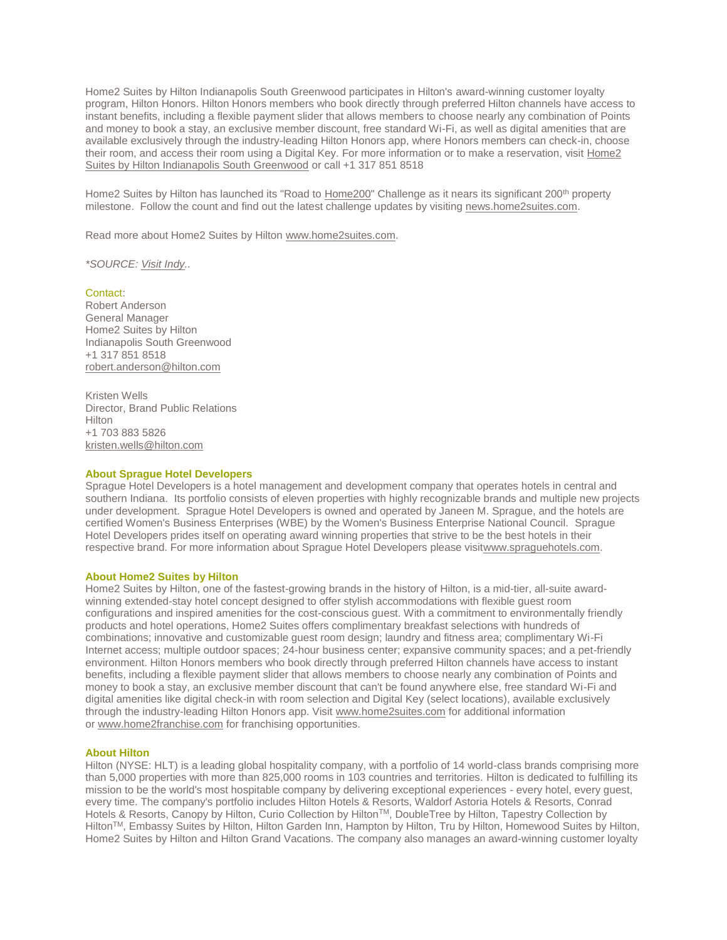Home2 Suites by Hilton Indianapolis South Greenwood participates in Hilton's award-winning customer loyalty program, Hilton Honors. Hilton Honors members who book directly through preferred Hilton channels have access to instant benefits, including a flexible payment slider that allows members to choose nearly any combination of Points and money to book a stay, an exclusive member discount, free standard Wi-Fi, as well as digital amenities that are available exclusively through the industry-leading Hilton Honors app, where Honors members can check-in, choose their room, and access their room using a Digital Key. For more information or to make a reservation, visit [Home2](http://home2suites3.hilton.com/en/hotels/indiana/home2-suites-by-hilton-indianapolis-greenwood-INDGRHT/index.html)  [Suites by Hilton Indianapolis South Greenwood](http://home2suites3.hilton.com/en/hotels/indiana/home2-suites-by-hilton-indianapolis-greenwood-INDGRHT/index.html) or call +1 317 851 8518

Home2 Suites by Hilton has launched its "Road to [Home200"](http://home2mediacenter.com/index.cfm/news/home2-suites-by-hilton-launches-road-to-home200-challenge) Challenge as it nears its significant 200<sup>th</sup> property milestone. Follow the count and find out the latest challenge updates by visiting [news.home2suites.com.](http://www.news.home2suites.com/)

Read more about Home2 Suites by Hilton [www.home2suites.com.](http://www.home2suites.com/)

*\*SOURCE: [Visit Indy.](https://www.visitindy.com/indianapolis-about-indianapolis).*

Contact:

Robert Anderson General Manager Home2 Suites by Hilton Indianapolis South Greenwood +1 317 851 8518 [robert.anderson@hilton.com](mailto:robert.anderson@hilton.com)

Kristen Wells Director, Brand Public Relations Hilton +1 703 883 5826 [kristen.wells@hilton.com](mailto:kristen.wells@hilton.com)

### **About Sprague Hotel Developers**

Sprague Hotel Developers is a hotel management and development company that operates hotels in central and southern Indiana. Its portfolio consists of eleven properties with highly recognizable brands and multiple new projects under development. Sprague Hotel Developers is owned and operated by Janeen M. Sprague, and the hotels are certified Women's Business Enterprises (WBE) by the Women's Business Enterprise National Council. Sprague Hotel Developers prides itself on operating award winning properties that strive to be the best hotels in their respective brand. For more information about Sprague Hotel Developers please visi[twww.spraguehotels.com.](http://www.spraguehotels.com/)

### **About Home2 Suites by Hilton**

Home2 Suites by Hilton, one of the fastest-growing brands in the history of Hilton, is a mid-tier, all-suite awardwinning extended-stay hotel concept designed to offer stylish accommodations with flexible guest room configurations and inspired amenities for the cost-conscious guest. With a commitment to environmentally friendly products and hotel operations, Home2 Suites offers complimentary breakfast selections with hundreds of combinations; innovative and customizable guest room design; laundry and fitness area; complimentary Wi-Fi Internet access; multiple outdoor spaces; 24-hour business center; expansive community spaces; and a pet-friendly environment. Hilton Honors members who book directly through preferred Hilton channels have access to instant benefits, including a flexible payment slider that allows members to choose nearly any combination of Points and money to book a stay, an exclusive member discount that can't be found anywhere else, free standard Wi-Fi and digital amenities like digital check-in with room selection and Digital Key (select locations), available exclusively through the industry-leading Hilton Honors app. Visit [www.home2suites.com](http://www.home2suites.com/) for additional information or [www.home2franchise.com](http://www.home2franchise.com/) for franchising opportunities.

### **About Hilton**

Hilton (NYSE: HLT) is a leading global hospitality company, with a portfolio of 14 world-class brands comprising more than 5,000 properties with more than 825,000 rooms in 103 countries and territories. Hilton is dedicated to fulfilling its mission to be the world's most hospitable company by delivering exceptional experiences - every hotel, every guest, every time. The company's portfolio includes Hilton Hotels & Resorts, Waldorf Astoria Hotels & Resorts, Conrad Hotels & Resorts, Canopy by Hilton, Curio Collection by Hilton™, DoubleTree by Hilton, Tapestry Collection by HiltonTM, Embassy Suites by Hilton, Hilton Garden Inn, Hampton by Hilton, Tru by Hilton, Homewood Suites by Hilton, Home2 Suites by Hilton and Hilton Grand Vacations. The company also manages an award-winning customer loyalty